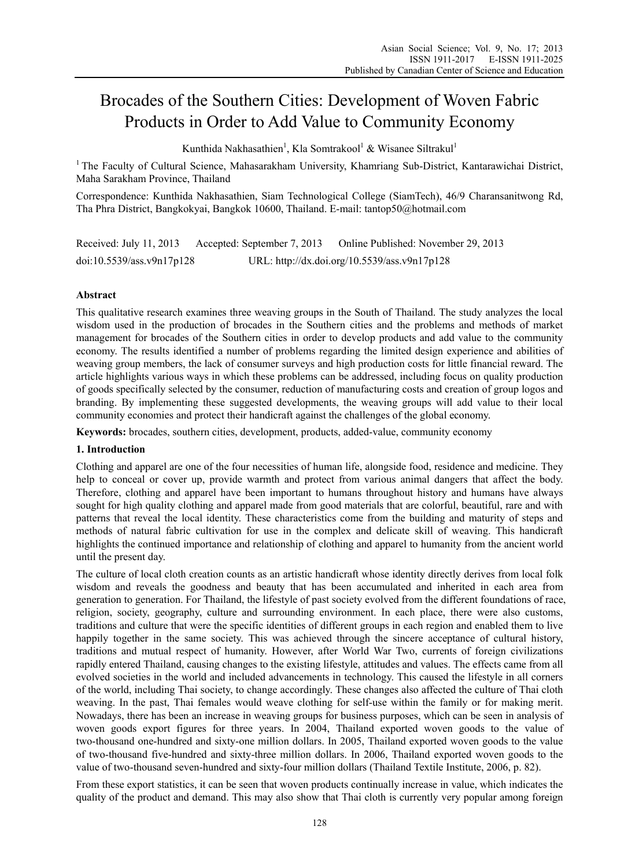# Brocades of the Southern Cities: Development of Woven Fabric Products in Order to Add Value to Community Economy

Kunthida Nakhasathien<sup>1</sup>, Kla Somtrakool<sup>1</sup> & Wisanee Siltrakul<sup>1</sup>

<sup>1</sup> The Faculty of Cultural Science, Mahasarakham University, Khamriang Sub-District, Kantarawichai District, Maha Sarakham Province, Thailand

Correspondence: Kunthida Nakhasathien, Siam Technological College (SiamTech), 46/9 Charansanitwong Rd, Tha Phra District, Bangkokyai, Bangkok 10600, Thailand. E-mail: tantop50@hotmail.com

Received: July 11, 2013 Accepted: September 7, 2013 Online Published: November 29, 2013 doi:10.5539/ass.v9n17p128 URL: http://dx.doi.org/10.5539/ass.v9n17p128

## **Abstract**

This qualitative research examines three weaving groups in the South of Thailand. The study analyzes the local wisdom used in the production of brocades in the Southern cities and the problems and methods of market management for brocades of the Southern cities in order to develop products and add value to the community economy. The results identified a number of problems regarding the limited design experience and abilities of weaving group members, the lack of consumer surveys and high production costs for little financial reward. The article highlights various ways in which these problems can be addressed, including focus on quality production of goods specifically selected by the consumer, reduction of manufacturing costs and creation of group logos and branding. By implementing these suggested developments, the weaving groups will add value to their local community economies and protect their handicraft against the challenges of the global economy.

**Keywords:** brocades, southern cities, development, products, added-value, community economy

### **1. Introduction**

Clothing and apparel are one of the four necessities of human life, alongside food, residence and medicine. They help to conceal or cover up, provide warmth and protect from various animal dangers that affect the body. Therefore, clothing and apparel have been important to humans throughout history and humans have always sought for high quality clothing and apparel made from good materials that are colorful, beautiful, rare and with patterns that reveal the local identity. These characteristics come from the building and maturity of steps and methods of natural fabric cultivation for use in the complex and delicate skill of weaving. This handicraft highlights the continued importance and relationship of clothing and apparel to humanity from the ancient world until the present day.

The culture of local cloth creation counts as an artistic handicraft whose identity directly derives from local folk wisdom and reveals the goodness and beauty that has been accumulated and inherited in each area from generation to generation. For Thailand, the lifestyle of past society evolved from the different foundations of race, religion, society, geography, culture and surrounding environment. In each place, there were also customs, traditions and culture that were the specific identities of different groups in each region and enabled them to live happily together in the same society. This was achieved through the sincere acceptance of cultural history, traditions and mutual respect of humanity. However, after World War Two, currents of foreign civilizations rapidly entered Thailand, causing changes to the existing lifestyle, attitudes and values. The effects came from all evolved societies in the world and included advancements in technology. This caused the lifestyle in all corners of the world, including Thai society, to change accordingly. These changes also affected the culture of Thai cloth weaving. In the past, Thai females would weave clothing for self-use within the family or for making merit. Nowadays, there has been an increase in weaving groups for business purposes, which can be seen in analysis of woven goods export figures for three years. In 2004, Thailand exported woven goods to the value of two-thousand one-hundred and sixty-one million dollars. In 2005, Thailand exported woven goods to the value of two-thousand five-hundred and sixty-three million dollars. In 2006, Thailand exported woven goods to the value of two-thousand seven-hundred and sixty-four million dollars (Thailand Textile Institute, 2006, p. 82).

From these export statistics, it can be seen that woven products continually increase in value, which indicates the quality of the product and demand. This may also show that Thai cloth is currently very popular among foreign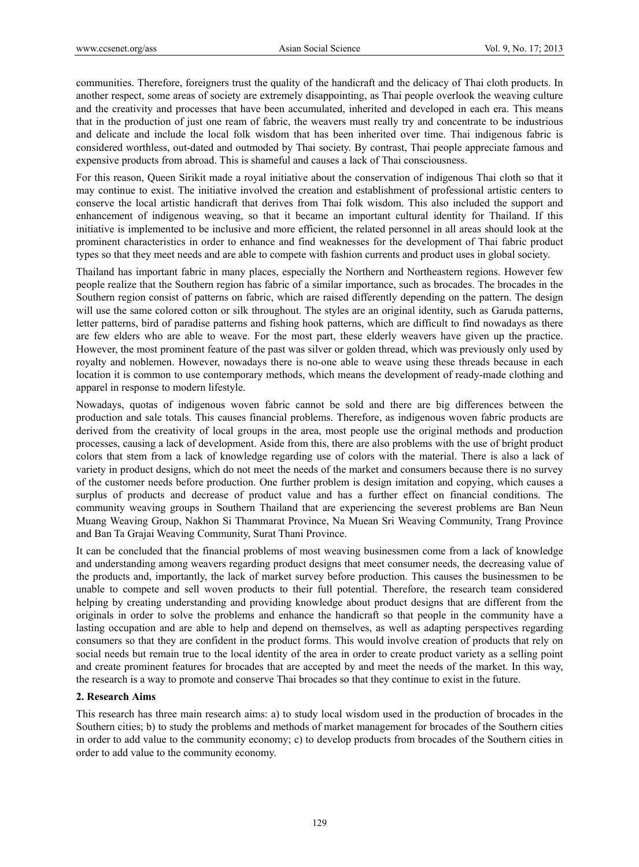communities. Therefore, foreigners trust the quality of the handicraft and the delicacy of Thai cloth products. In another respect, some areas of society are extremely disappointing, as Thai people overlook the weaving culture and the creativity and processes that have been accumulated, inherited and developed in each era. This means that in the production of just one ream of fabric, the weavers must really try and concentrate to be industrious and delicate and include the local folk wisdom that has been inherited over time. Thai indigenous fabric is considered worthless, out-dated and outmoded by Thai society. By contrast, Thai people appreciate famous and expensive products from abroad. This is shameful and causes a lack of Thai consciousness.

For this reason, Queen Sirikit made a royal initiative about the conservation of indigenous Thai cloth so that it may continue to exist. The initiative involved the creation and establishment of professional artistic centers to conserve the local artistic handicraft that derives from Thai folk wisdom. This also included the support and enhancement of indigenous weaving, so that it became an important cultural identity for Thailand. If this initiative is implemented to be inclusive and more efficient, the related personnel in all areas should look at the prominent characteristics in order to enhance and find weaknesses for the development of Thai fabric product types so that they meet needs and are able to compete with fashion currents and product uses in global society.

Thailand has important fabric in many places, especially the Northern and Northeastern regions. However few people realize that the Southern region has fabric of a similar importance, such as brocades. The brocades in the Southern region consist of patterns on fabric, which are raised differently depending on the pattern. The design will use the same colored cotton or silk throughout. The styles are an original identity, such as Garuda patterns, letter patterns, bird of paradise patterns and fishing hook patterns, which are difficult to find nowadays as there are few elders who are able to weave. For the most part, these elderly weavers have given up the practice. However, the most prominent feature of the past was silver or golden thread, which was previously only used by royalty and noblemen. However, nowadays there is no-one able to weave using these threads because in each location it is common to use contemporary methods, which means the development of ready-made clothing and apparel in response to modern lifestyle.

Nowadays, quotas of indigenous woven fabric cannot be sold and there are big differences between the production and sale totals. This causes financial problems. Therefore, as indigenous woven fabric products are derived from the creativity of local groups in the area, most people use the original methods and production processes, causing a lack of development. Aside from this, there are also problems with the use of bright product colors that stem from a lack of knowledge regarding use of colors with the material. There is also a lack of variety in product designs, which do not meet the needs of the market and consumers because there is no survey of the customer needs before production. One further problem is design imitation and copying, which causes a surplus of products and decrease of product value and has a further effect on financial conditions. The community weaving groups in Southern Thailand that are experiencing the severest problems are Ban Neun Muang Weaving Group, Nakhon Si Thammarat Province, Na Muean Sri Weaving Community, Trang Province and Ban Ta Grajai Weaving Community, Surat Thani Province.

It can be concluded that the financial problems of most weaving businessmen come from a lack of knowledge and understanding among weavers regarding product designs that meet consumer needs, the decreasing value of the products and, importantly, the lack of market survey before production. This causes the businessmen to be unable to compete and sell woven products to their full potential. Therefore, the research team considered helping by creating understanding and providing knowledge about product designs that are different from the originals in order to solve the problems and enhance the handicraft so that people in the community have a lasting occupation and are able to help and depend on themselves, as well as adapting perspectives regarding consumers so that they are confident in the product forms. This would involve creation of products that rely on social needs but remain true to the local identity of the area in order to create product variety as a selling point and create prominent features for brocades that are accepted by and meet the needs of the market. In this way, the research is a way to promote and conserve Thai brocades so that they continue to exist in the future.

### **2. Research Aims**

This research has three main research aims: a) to study local wisdom used in the production of brocades in the Southern cities; b) to study the problems and methods of market management for brocades of the Southern cities in order to add value to the community economy; c) to develop products from brocades of the Southern cities in order to add value to the community economy.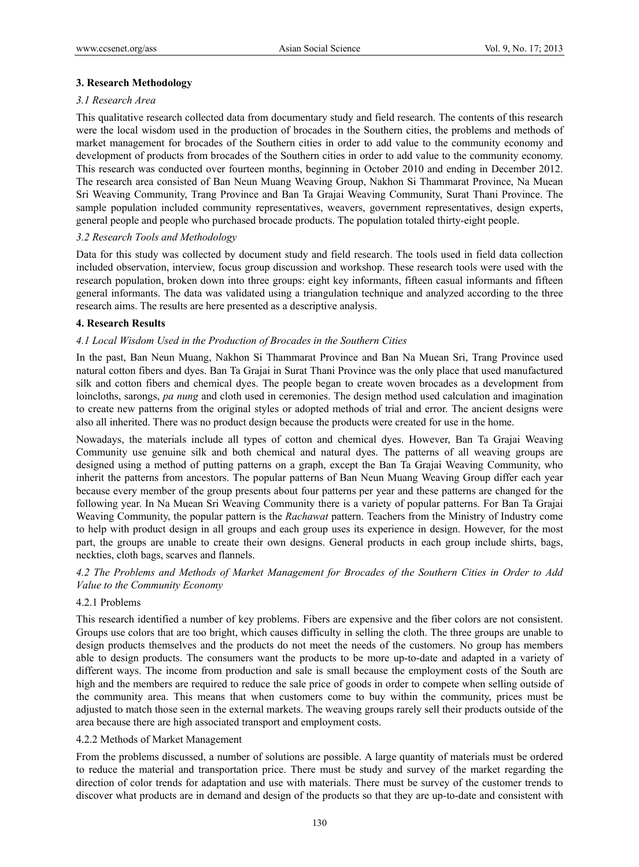## **3. Research Methodology**

### *3.1 Research Area*

This qualitative research collected data from documentary study and field research. The contents of this research were the local wisdom used in the production of brocades in the Southern cities, the problems and methods of market management for brocades of the Southern cities in order to add value to the community economy and development of products from brocades of the Southern cities in order to add value to the community economy. This research was conducted over fourteen months, beginning in October 2010 and ending in December 2012. The research area consisted of Ban Neun Muang Weaving Group, Nakhon Si Thammarat Province, Na Muean Sri Weaving Community, Trang Province and Ban Ta Grajai Weaving Community, Surat Thani Province. The sample population included community representatives, weavers, government representatives, design experts, general people and people who purchased brocade products. The population totaled thirty-eight people.

## *3.2 Research Tools and Methodology*

Data for this study was collected by document study and field research. The tools used in field data collection included observation, interview, focus group discussion and workshop. These research tools were used with the research population, broken down into three groups: eight key informants, fifteen casual informants and fifteen general informants. The data was validated using a triangulation technique and analyzed according to the three research aims. The results are here presented as a descriptive analysis.

### **4. Research Results**

## *4.1 Local Wisdom Used in the Production of Brocades in the Southern Cities*

In the past, Ban Neun Muang, Nakhon Si Thammarat Province and Ban Na Muean Sri, Trang Province used natural cotton fibers and dyes. Ban Ta Grajai in Surat Thani Province was the only place that used manufactured silk and cotton fibers and chemical dyes. The people began to create woven brocades as a development from loincloths, sarongs, *pa nung* and cloth used in ceremonies. The design method used calculation and imagination to create new patterns from the original styles or adopted methods of trial and error. The ancient designs were also all inherited. There was no product design because the products were created for use in the home.

Nowadays, the materials include all types of cotton and chemical dyes. However, Ban Ta Grajai Weaving Community use genuine silk and both chemical and natural dyes. The patterns of all weaving groups are designed using a method of putting patterns on a graph, except the Ban Ta Grajai Weaving Community, who inherit the patterns from ancestors. The popular patterns of Ban Neun Muang Weaving Group differ each year because every member of the group presents about four patterns per year and these patterns are changed for the following year. In Na Muean Sri Weaving Community there is a variety of popular patterns. For Ban Ta Grajai Weaving Community, the popular pattern is the *Rachawat* pattern. Teachers from the Ministry of Industry come to help with product design in all groups and each group uses its experience in design. However, for the most part, the groups are unable to create their own designs. General products in each group include shirts, bags, neckties, cloth bags, scarves and flannels.

*4.2 The Problems and Methods of Market Management for Brocades of the Southern Cities in Order to Add Value to the Community Economy* 

### 4.2.1 Problems

This research identified a number of key problems. Fibers are expensive and the fiber colors are not consistent. Groups use colors that are too bright, which causes difficulty in selling the cloth. The three groups are unable to design products themselves and the products do not meet the needs of the customers. No group has members able to design products. The consumers want the products to be more up-to-date and adapted in a variety of different ways. The income from production and sale is small because the employment costs of the South are high and the members are required to reduce the sale price of goods in order to compete when selling outside of the community area. This means that when customers come to buy within the community, prices must be adjusted to match those seen in the external markets. The weaving groups rarely sell their products outside of the area because there are high associated transport and employment costs.

### 4.2.2 Methods of Market Management

From the problems discussed, a number of solutions are possible. A large quantity of materials must be ordered to reduce the material and transportation price. There must be study and survey of the market regarding the direction of color trends for adaptation and use with materials. There must be survey of the customer trends to discover what products are in demand and design of the products so that they are up-to-date and consistent with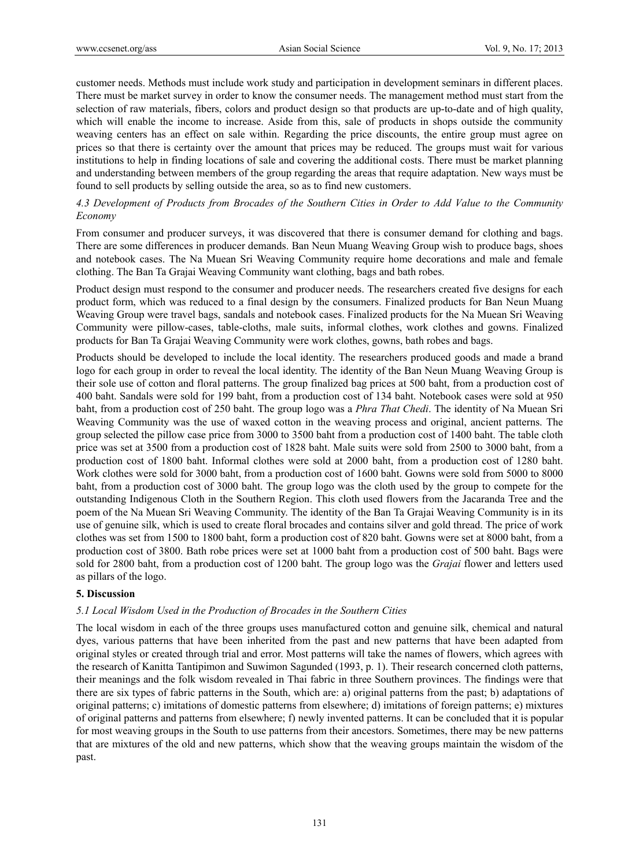customer needs. Methods must include work study and participation in development seminars in different places. There must be market survey in order to know the consumer needs. The management method must start from the selection of raw materials, fibers, colors and product design so that products are up-to-date and of high quality, which will enable the income to increase. Aside from this, sale of products in shops outside the community weaving centers has an effect on sale within. Regarding the price discounts, the entire group must agree on prices so that there is certainty over the amount that prices may be reduced. The groups must wait for various institutions to help in finding locations of sale and covering the additional costs. There must be market planning and understanding between members of the group regarding the areas that require adaptation. New ways must be found to sell products by selling outside the area, so as to find new customers.

## *4.3 Development of Products from Brocades of the Southern Cities in Order to Add Value to the Community Economy*

From consumer and producer surveys, it was discovered that there is consumer demand for clothing and bags. There are some differences in producer demands. Ban Neun Muang Weaving Group wish to produce bags, shoes and notebook cases. The Na Muean Sri Weaving Community require home decorations and male and female clothing. The Ban Ta Grajai Weaving Community want clothing, bags and bath robes.

Product design must respond to the consumer and producer needs. The researchers created five designs for each product form, which was reduced to a final design by the consumers. Finalized products for Ban Neun Muang Weaving Group were travel bags, sandals and notebook cases. Finalized products for the Na Muean Sri Weaving Community were pillow-cases, table-cloths, male suits, informal clothes, work clothes and gowns. Finalized products for Ban Ta Grajai Weaving Community were work clothes, gowns, bath robes and bags.

Products should be developed to include the local identity. The researchers produced goods and made a brand logo for each group in order to reveal the local identity. The identity of the Ban Neun Muang Weaving Group is their sole use of cotton and floral patterns. The group finalized bag prices at 500 baht, from a production cost of 400 baht. Sandals were sold for 199 baht, from a production cost of 134 baht. Notebook cases were sold at 950 baht, from a production cost of 250 baht. The group logo was a *Phra That Chedi*. The identity of Na Muean Sri Weaving Community was the use of waxed cotton in the weaving process and original, ancient patterns. The group selected the pillow case price from 3000 to 3500 baht from a production cost of 1400 baht. The table cloth price was set at 3500 from a production cost of 1828 baht. Male suits were sold from 2500 to 3000 baht, from a production cost of 1800 baht. Informal clothes were sold at 2000 baht, from a production cost of 1280 baht. Work clothes were sold for 3000 baht, from a production cost of 1600 baht. Gowns were sold from 5000 to 8000 baht, from a production cost of 3000 baht. The group logo was the cloth used by the group to compete for the outstanding Indigenous Cloth in the Southern Region. This cloth used flowers from the Jacaranda Tree and the poem of the Na Muean Sri Weaving Community. The identity of the Ban Ta Grajai Weaving Community is in its use of genuine silk, which is used to create floral brocades and contains silver and gold thread. The price of work clothes was set from 1500 to 1800 baht, form a production cost of 820 baht. Gowns were set at 8000 baht, from a production cost of 3800. Bath robe prices were set at 1000 baht from a production cost of 500 baht. Bags were sold for 2800 baht, from a production cost of 1200 baht. The group logo was the *Grajai* flower and letters used as pillars of the logo.

### **5. Discussion**

### *5.1 Local Wisdom Used in the Production of Brocades in the Southern Cities*

The local wisdom in each of the three groups uses manufactured cotton and genuine silk, chemical and natural dyes, various patterns that have been inherited from the past and new patterns that have been adapted from original styles or created through trial and error. Most patterns will take the names of flowers, which agrees with the research of Kanitta Tantipimon and Suwimon Sagunded (1993, p. 1). Their research concerned cloth patterns, their meanings and the folk wisdom revealed in Thai fabric in three Southern provinces. The findings were that there are six types of fabric patterns in the South, which are: a) original patterns from the past; b) adaptations of original patterns; c) imitations of domestic patterns from elsewhere; d) imitations of foreign patterns; e) mixtures of original patterns and patterns from elsewhere; f) newly invented patterns. It can be concluded that it is popular for most weaving groups in the South to use patterns from their ancestors. Sometimes, there may be new patterns that are mixtures of the old and new patterns, which show that the weaving groups maintain the wisdom of the past.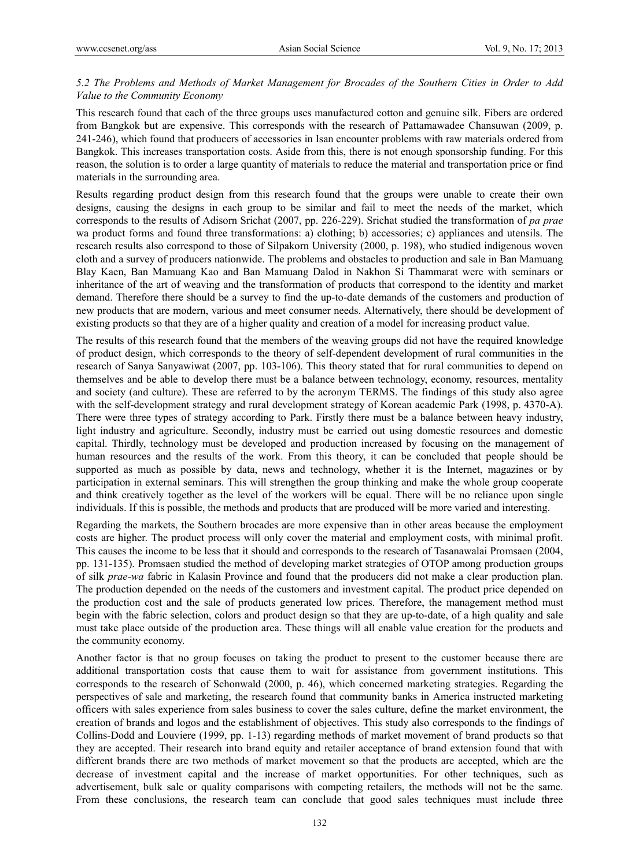## *5.2 The Problems and Methods of Market Management for Brocades of the Southern Cities in Order to Add Value to the Community Economy*

This research found that each of the three groups uses manufactured cotton and genuine silk. Fibers are ordered from Bangkok but are expensive. This corresponds with the research of Pattamawadee Chansuwan (2009, p. 241-246), which found that producers of accessories in Isan encounter problems with raw materials ordered from Bangkok. This increases transportation costs. Aside from this, there is not enough sponsorship funding. For this reason, the solution is to order a large quantity of materials to reduce the material and transportation price or find materials in the surrounding area.

Results regarding product design from this research found that the groups were unable to create their own designs, causing the designs in each group to be similar and fail to meet the needs of the market, which corresponds to the results of Adisorn Srichat (2007, pp. 226-229). Srichat studied the transformation of *pa prae*  wa product forms and found three transformations: a) clothing; b) accessories; c) appliances and utensils. The research results also correspond to those of Silpakorn University (2000, p. 198), who studied indigenous woven cloth and a survey of producers nationwide. The problems and obstacles to production and sale in Ban Mamuang Blay Kaen, Ban Mamuang Kao and Ban Mamuang Dalod in Nakhon Si Thammarat were with seminars or inheritance of the art of weaving and the transformation of products that correspond to the identity and market demand. Therefore there should be a survey to find the up-to-date demands of the customers and production of new products that are modern, various and meet consumer needs. Alternatively, there should be development of existing products so that they are of a higher quality and creation of a model for increasing product value.

The results of this research found that the members of the weaving groups did not have the required knowledge of product design, which corresponds to the theory of self-dependent development of rural communities in the research of Sanya Sanyawiwat (2007, pp. 103-106). This theory stated that for rural communities to depend on themselves and be able to develop there must be a balance between technology, economy, resources, mentality and society (and culture). These are referred to by the acronym TERMS. The findings of this study also agree with the self-development strategy and rural development strategy of Korean academic Park (1998, p. 4370-A). There were three types of strategy according to Park. Firstly there must be a balance between heavy industry, light industry and agriculture. Secondly, industry must be carried out using domestic resources and domestic capital. Thirdly, technology must be developed and production increased by focusing on the management of human resources and the results of the work. From this theory, it can be concluded that people should be supported as much as possible by data, news and technology, whether it is the Internet, magazines or by participation in external seminars. This will strengthen the group thinking and make the whole group cooperate and think creatively together as the level of the workers will be equal. There will be no reliance upon single individuals. If this is possible, the methods and products that are produced will be more varied and interesting.

Regarding the markets, the Southern brocades are more expensive than in other areas because the employment costs are higher. The product process will only cover the material and employment costs, with minimal profit. This causes the income to be less that it should and corresponds to the research of Tasanawalai Promsaen (2004, pp. 131-135). Promsaen studied the method of developing market strategies of OTOP among production groups of silk *prae-wa* fabric in Kalasin Province and found that the producers did not make a clear production plan. The production depended on the needs of the customers and investment capital. The product price depended on the production cost and the sale of products generated low prices. Therefore, the management method must begin with the fabric selection, colors and product design so that they are up-to-date, of a high quality and sale must take place outside of the production area. These things will all enable value creation for the products and the community economy.

Another factor is that no group focuses on taking the product to present to the customer because there are additional transportation costs that cause them to wait for assistance from government institutions. This corresponds to the research of Schonwald (2000, p. 46), which concerned marketing strategies. Regarding the perspectives of sale and marketing, the research found that community banks in America instructed marketing officers with sales experience from sales business to cover the sales culture, define the market environment, the creation of brands and logos and the establishment of objectives. This study also corresponds to the findings of Collins-Dodd and Louviere (1999, pp. 1-13) regarding methods of market movement of brand products so that they are accepted. Their research into brand equity and retailer acceptance of brand extension found that with different brands there are two methods of market movement so that the products are accepted, which are the decrease of investment capital and the increase of market opportunities. For other techniques, such as advertisement, bulk sale or quality comparisons with competing retailers, the methods will not be the same. From these conclusions, the research team can conclude that good sales techniques must include three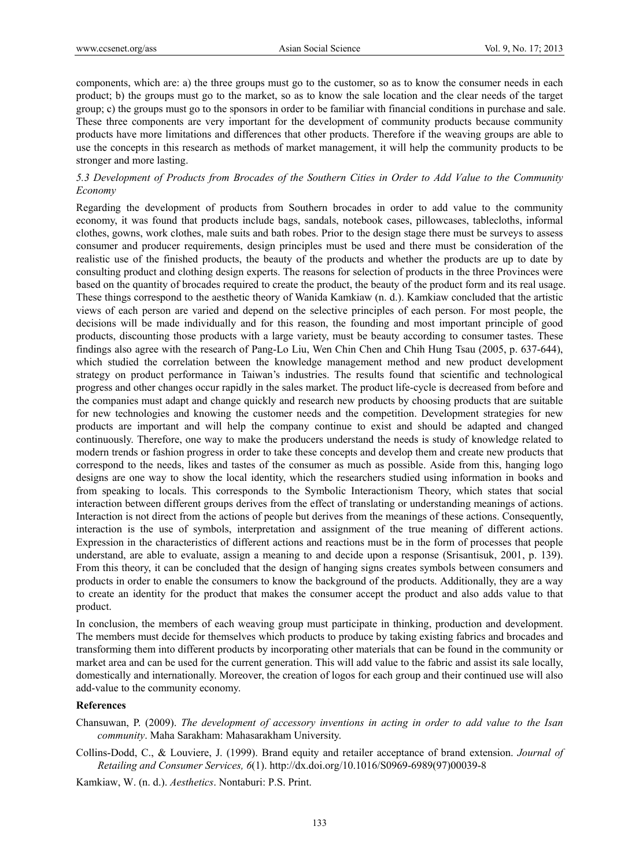components, which are: a) the three groups must go to the customer, so as to know the consumer needs in each product; b) the groups must go to the market, so as to know the sale location and the clear needs of the target group; c) the groups must go to the sponsors in order to be familiar with financial conditions in purchase and sale. These three components are very important for the development of community products because community products have more limitations and differences that other products. Therefore if the weaving groups are able to use the concepts in this research as methods of market management, it will help the community products to be stronger and more lasting.

## *5.3 Development of Products from Brocades of the Southern Cities in Order to Add Value to the Community Economy*

Regarding the development of products from Southern brocades in order to add value to the community economy, it was found that products include bags, sandals, notebook cases, pillowcases, tablecloths, informal clothes, gowns, work clothes, male suits and bath robes. Prior to the design stage there must be surveys to assess consumer and producer requirements, design principles must be used and there must be consideration of the realistic use of the finished products, the beauty of the products and whether the products are up to date by consulting product and clothing design experts. The reasons for selection of products in the three Provinces were based on the quantity of brocades required to create the product, the beauty of the product form and its real usage. These things correspond to the aesthetic theory of Wanida Kamkiaw (n. d.). Kamkiaw concluded that the artistic views of each person are varied and depend on the selective principles of each person. For most people, the decisions will be made individually and for this reason, the founding and most important principle of good products, discounting those products with a large variety, must be beauty according to consumer tastes. These findings also agree with the research of Pang-Lo Liu, Wen Chin Chen and Chih Hung Tsau (2005, p. 637-644), which studied the correlation between the knowledge management method and new product development strategy on product performance in Taiwan's industries. The results found that scientific and technological progress and other changes occur rapidly in the sales market. The product life-cycle is decreased from before and the companies must adapt and change quickly and research new products by choosing products that are suitable for new technologies and knowing the customer needs and the competition. Development strategies for new products are important and will help the company continue to exist and should be adapted and changed continuously. Therefore, one way to make the producers understand the needs is study of knowledge related to modern trends or fashion progress in order to take these concepts and develop them and create new products that correspond to the needs, likes and tastes of the consumer as much as possible. Aside from this, hanging logo designs are one way to show the local identity, which the researchers studied using information in books and from speaking to locals. This corresponds to the Symbolic Interactionism Theory, which states that social interaction between different groups derives from the effect of translating or understanding meanings of actions. Interaction is not direct from the actions of people but derives from the meanings of these actions. Consequently, interaction is the use of symbols, interpretation and assignment of the true meaning of different actions. Expression in the characteristics of different actions and reactions must be in the form of processes that people understand, are able to evaluate, assign a meaning to and decide upon a response (Srisantisuk, 2001, p. 139). From this theory, it can be concluded that the design of hanging signs creates symbols between consumers and products in order to enable the consumers to know the background of the products. Additionally, they are a way to create an identity for the product that makes the consumer accept the product and also adds value to that product.

In conclusion, the members of each weaving group must participate in thinking, production and development. The members must decide for themselves which products to produce by taking existing fabrics and brocades and transforming them into different products by incorporating other materials that can be found in the community or market area and can be used for the current generation. This will add value to the fabric and assist its sale locally, domestically and internationally. Moreover, the creation of logos for each group and their continued use will also add-value to the community economy.

#### **References**

- Chansuwan, P. (2009). *The development of accessory inventions in acting in order to add value to the Isan community*. Maha Sarakham: Mahasarakham University.
- Collins-Dodd, C., & Louviere, J. (1999). Brand equity and retailer acceptance of brand extension. *Journal of Retailing and Consumer Services, 6*(1). http://dx.doi.org/10.1016/S0969-6989(97)00039-8
- Kamkiaw, W. (n. d.). *Aesthetics*. Nontaburi: P.S. Print.